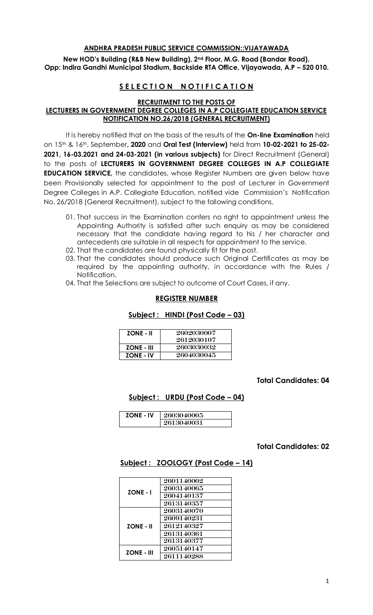### **ANDHRA PRADESH PUBLIC SERVICE COMMISSION::VIJAYAWADA**

**New HOD's Building (R&B New Building), 2nd Floor, M.G. Road (Bandar Road), Opp: Indira Gandhi Municipal Stadium, Backside RTA Office, Vijayawada, A.P – 520 010.** 

# **SELECTION NOTIFICATION**

**RECRUITMENT TO THE POSTS OF** 

# **LECTURERS IN GOVERNMENT DEGREE COLLEGES IN A.P COLLEGIATE EDUCATION SERVICE NOTIFICATION NO.26/2018 (GENERAL RECRUITMENT)**

It is hereby notified that on the basis of the results of the **On-line Examination** held on 15th & 16th, September**, 2020** and **Oral Test (Interview)** held from **10-02-2021 to 25-02- 2021, 16-03.2021 and 24-03-2021 (in various subjects)** for Direct Recruitment (General) to the posts of **LECTURERS IN GOVERNMENT DEGREE COLLEGES IN A.P COLLEGIATE EDUCATION SERVICE,** the candidates, whose Register Numbers are given below have been Provisionally selected for appointment to the post of Lecturer in Government Degree Colleges in A.P. Collegiate Education, notified vide Commission's Notification No. 26/2018 (General Recruitment), subject to the following conditions.

- 01. That success in the Examination confers no right to appointment unless the Appointing Authority is satisfied after such enquiry as may be considered necessary that the candidate having regard to his / her character and antecedents are suitable in all respects for appointment to the service.
- 02. That the candidates are found physically fit for the post.
- 03. That the candidates should produce such Original Certificates as may be required by the appointing authority, in accordance with the Rules / Notification.
- 04. That the Selections are subject to outcome of Court Cases, if any.

#### **REGISTER NUMBER**

### **Subject : HINDI (Post Code – 03)**

| <b>ZONE - II</b>  | 2602030007<br>2612030107 |
|-------------------|--------------------------|
| <b>ZONE - III</b> | 2603030032               |
| <b>ZONE - IV</b>  | 2604030045               |

## **Total Candidates: 04**

### **Subject : URDU (Post Code – 04)**

| <b>ZONE - IV</b> | 2603040005 |
|------------------|------------|
|                  | 2613040031 |

### **Total Candidates: 02**

### **Subject : ZOOLOGY (Post Code – 14)**

| <b>ZONE - I</b>   | 2601140002 |
|-------------------|------------|
|                   | 2603140065 |
|                   | 2604140137 |
|                   | 2613140357 |
| <b>ZONE - II</b>  | 2603140070 |
|                   | 2609140231 |
|                   | 2612140327 |
|                   | 2613140361 |
|                   | 2613140377 |
| <b>ZONE - III</b> | 2605140147 |
|                   | 2611140288 |